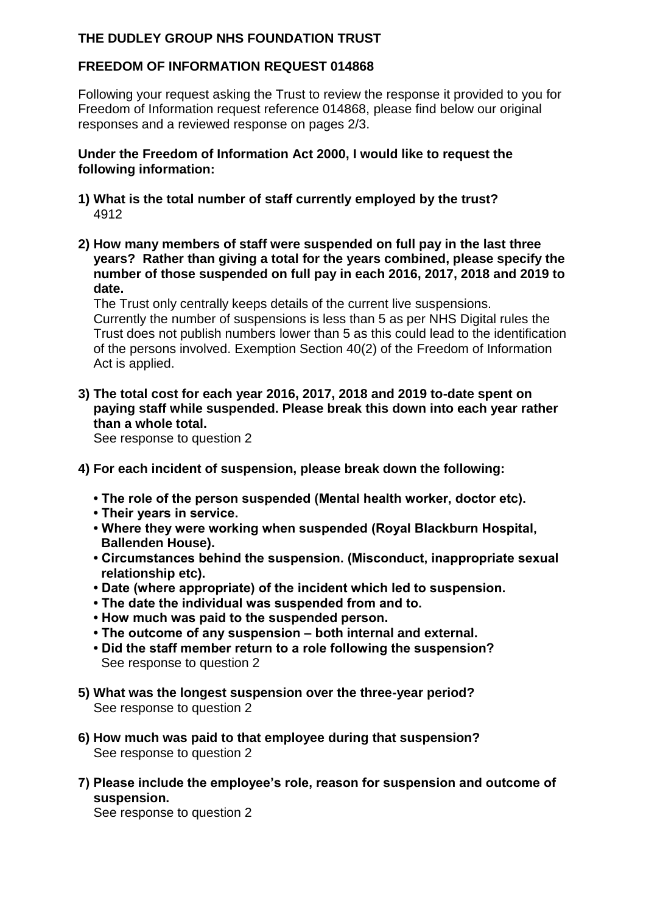## **THE DUDLEY GROUP NHS FOUNDATION TRUST**

## **FREEDOM OF INFORMATION REQUEST 014868**

Following your request asking the Trust to review the response it provided to you for Freedom of Information request reference 014868, please find below our original responses and a reviewed response on pages 2/3.

#### **Under the Freedom of Information Act 2000, I would like to request the following information:**

- **1) What is the total number of staff currently employed by the trust?** 4912
- **2) How many members of staff were suspended on full pay in the last three years? Rather than giving a total for the years combined, please specify the number of those suspended on full pay in each 2016, 2017, 2018 and 2019 to date.**

The Trust only centrally keeps details of the current live suspensions. Currently the number of suspensions is less than 5 as per NHS Digital rules the Trust does not publish numbers lower than 5 as this could lead to the identification of the persons involved. Exemption Section 40(2) of the Freedom of Information Act is applied.

**3) The total cost for each year 2016, 2017, 2018 and 2019 to-date spent on paying staff while suspended. Please break this down into each year rather than a whole total.**

See response to question 2

- **4) For each incident of suspension, please break down the following:** 
	- **The role of the person suspended (Mental health worker, doctor etc).**
	- **Their years in service.**
	- **Where they were working when suspended (Royal Blackburn Hospital, Ballenden House).**
	- **Circumstances behind the suspension. (Misconduct, inappropriate sexual relationship etc).**
	- **Date (where appropriate) of the incident which led to suspension.**
	- **The date the individual was suspended from and to.**
	- **How much was paid to the suspended person.**
	- **The outcome of any suspension – both internal and external.**
	- **Did the staff member return to a role following the suspension?** See response to question 2
- **5) What was the longest suspension over the three-year period?** See response to question 2
- **6) How much was paid to that employee during that suspension?** See response to question 2
- **7) Please include the employee's role, reason for suspension and outcome of suspension.**

See response to question 2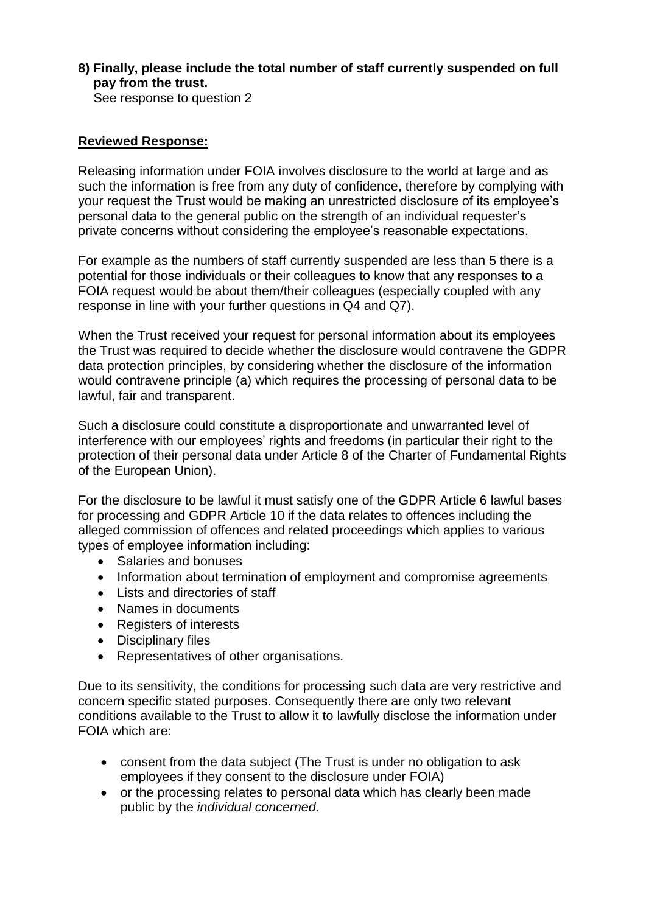## **8) Finally, please include the total number of staff currently suspended on full pay from the trust.**

See response to question 2

### **Reviewed Response:**

Releasing information under FOIA involves disclosure to the world at large and as such the information is free from any duty of confidence, therefore by complying with your request the Trust would be making an unrestricted disclosure of its employee's personal data to the general public on the strength of an individual requester's private concerns without considering the employee's reasonable expectations.

For example as the numbers of staff currently suspended are less than 5 there is a potential for those individuals or their colleagues to know that any responses to a FOIA request would be about them/their colleagues (especially coupled with any response in line with your further questions in Q4 and Q7).

When the Trust received your request for personal information about its employees the Trust was required to decide whether the disclosure would contravene the GDPR data protection principles, by considering whether the disclosure of the information would contravene principle (a) which requires the processing of personal data to be lawful, fair and transparent.

Such a disclosure could constitute a disproportionate and unwarranted level of interference with our employees' rights and freedoms (in particular their right to the protection of their personal data under Article 8 of the Charter of Fundamental Rights of the European Union).

For the disclosure to be lawful it must satisfy one of the GDPR Article 6 lawful bases for processing and GDPR Article 10 if the data relates to offences including the alleged commission of offences and related proceedings which applies to various types of employee information including:

- Salaries and bonuses
- Information about termination of employment and compromise agreements
- Lists and directories of staff
- Names in documents
- Registers of interests
- Disciplinary files
- Representatives of other organisations.

Due to its sensitivity, the conditions for processing such data are very restrictive and concern specific stated purposes. Consequently there are only two relevant conditions available to the Trust to allow it to lawfully disclose the information under FOIA which are:

- consent from the data subject (The Trust is under no obligation to ask employees if they consent to the disclosure under FOIA)
- or the processing relates to personal data which has clearly been made public by the *individual concerned.*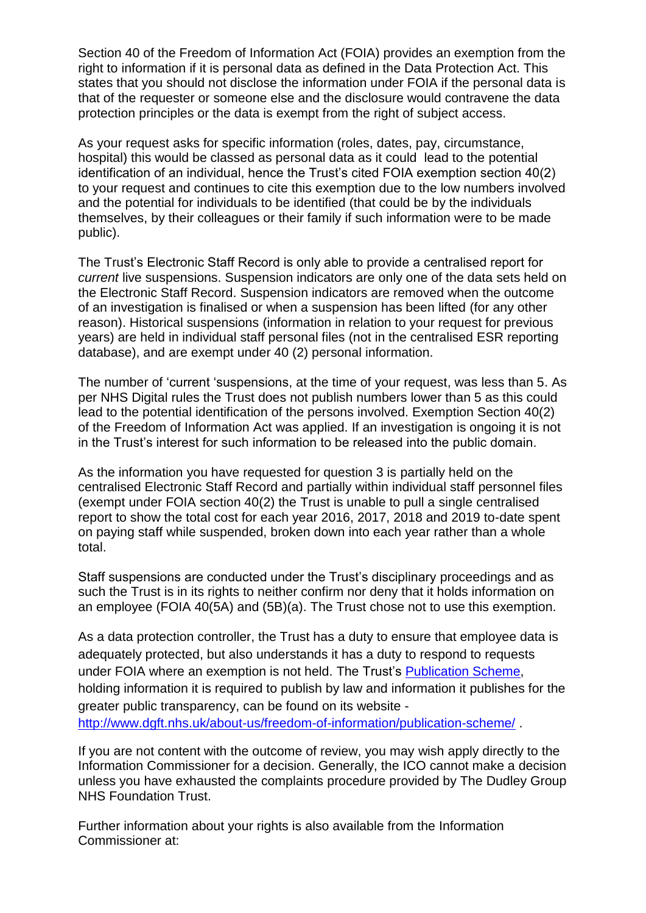Section 40 of the Freedom of Information Act (FOIA) provides an exemption from the right to information if it is personal data as defined in the Data Protection Act. This states that you should not disclose the information under FOIA if the personal data is that of the requester or someone else and the disclosure would contravene the data protection principles or the data is exempt from the right of subject access.

As your request asks for specific information (roles, dates, pay, circumstance, hospital) this would be classed as personal data as it could lead to the potential identification of an individual, hence the Trust's cited FOIA exemption section 40(2) to your request and continues to cite this exemption due to the low numbers involved and the potential for individuals to be identified (that could be by the individuals themselves, by their colleagues or their family if such information were to be made public).

The Trust's Electronic Staff Record is only able to provide a centralised report for *current* live suspensions. Suspension indicators are only one of the data sets held on the Electronic Staff Record. Suspension indicators are removed when the outcome of an investigation is finalised or when a suspension has been lifted (for any other reason). Historical suspensions (information in relation to your request for previous years) are held in individual staff personal files (not in the centralised ESR reporting database), and are exempt under 40 (2) personal information.

The number of 'current 'suspensions, at the time of your request, was less than 5. As per NHS Digital rules the Trust does not publish numbers lower than 5 as this could lead to the potential identification of the persons involved. Exemption Section 40(2) of the Freedom of Information Act was applied. If an investigation is ongoing it is not in the Trust's interest for such information to be released into the public domain.

As the information you have requested for question 3 is partially held on the centralised Electronic Staff Record and partially within individual staff personnel files (exempt under FOIA section 40(2) the Trust is unable to pull a single centralised report to show the total cost for each year 2016, 2017, 2018 and 2019 to-date spent on paying staff while suspended, broken down into each year rather than a whole total.

Staff suspensions are conducted under the Trust's disciplinary proceedings and as such the Trust is in its rights to neither confirm nor deny that it holds information on an employee (FOIA 40(5A) and (5B)(a). The Trust chose not to use this exemption.

As a data protection controller, the Trust has a duty to ensure that employee data is adequately protected, but also understands it has a duty to respond to requests under FOIA where an exemption is not held. The Trust's [Publication Scheme,](http://www.dgft.nhs.uk/about-us/freedom-of-information/publication-scheme/) holding information it is required to publish by law and information it publishes for the greater public transparency, can be found on its website <http://www.dgft.nhs.uk/about-us/freedom-of-information/publication-scheme/> .

If you are not content with the outcome of review, you may wish apply directly to the Information Commissioner for a decision. Generally, the ICO cannot make a decision unless you have exhausted the complaints procedure provided by The Dudley Group NHS Foundation Trust.

Further information about your rights is also available from the Information Commissioner at: